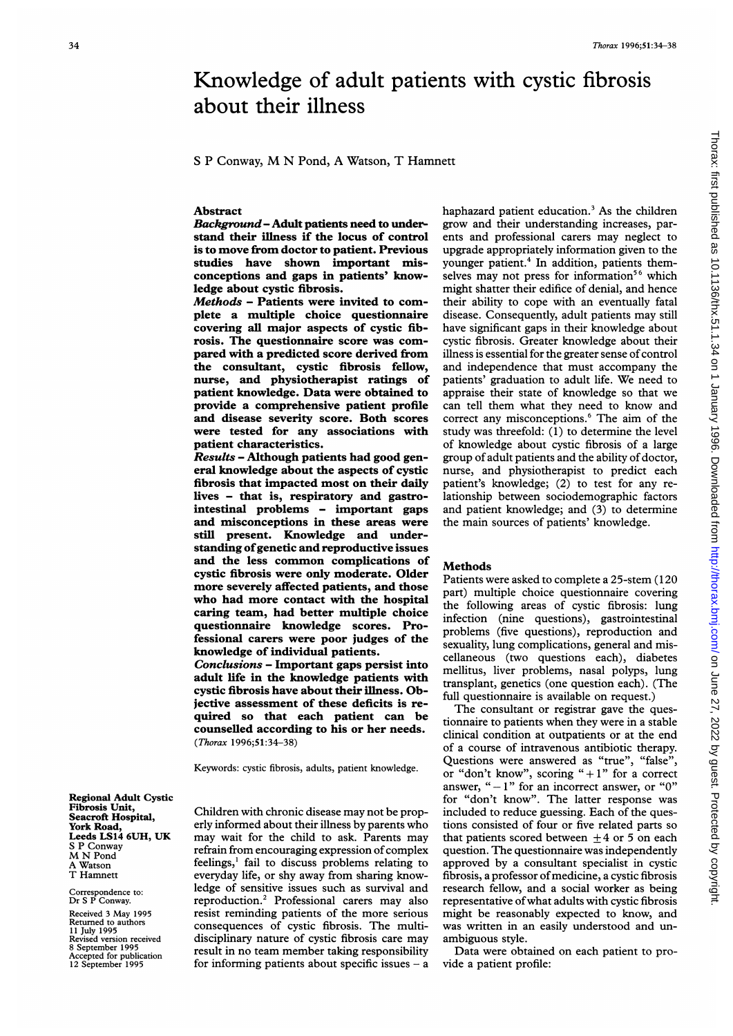<sup>S</sup> <sup>P</sup> Conway, M N Pond, A Watson, T Hamnett

## Abstract

Background- Adult patients need to understand their illness if the locus of control is to move from doctor to patient. Previous studies have shown important misconceptions and gaps in patients' knowledge about cystic fibrosis.

Methods - Patients were invited to complete a multiple choice questionnaire covering all major aspects of cystic fibrosis. The questionnaire score was compared with a predicted score derived from the consultant, cystic fibrosis fellow, nurse, and physiotherapist ratings of patient knowledge. Data were obtained to provide a comprehensive patient profile and disease severity score. Both scores were tested for any associations with patient characteristics.

Results - Although patients had good general knowledge about the aspects of cystic fibrosis that impacted most on their daily lives - that is, respiratory and gastrointestinal problems - important gaps and misconceptions in these areas were still present. Knowledge and understanding ofgenetic and reproductive issues and the less common complications of cystic fibrosis were only moderate. Older more severely affected patients, and those who had more contact with the hospital caring team, had better multiple choice questionnaire knowledge scores. Professional carers were poor judges of the knowledge of individual patients.

Conclusions - Important gaps persist into adult life in the knowledge patients with cystic fibrosis have about their illness. Objective assessment of these deficits is required so that each patient can be counselled according to his or her needs. (Thorax 1996;51:34-38)

Keywords: cystic fibrosis, adults, patient knowledge.

Regional Adult Cystic Fibrosis Unit, Seacroft Hospital, York Road, Leeds LS14 6UH, UK S P Conway M N Pond A Watson T Hamnett

Correspondence to: Dr S P Conway.

Received <sup>3</sup> May 1995 Returned to authors 11 July 1995 Revised version received 8 September 1995 Accepted for publication 12 September 1995 Children with chronic disease may not be properly informed about their illness by parents who may wait for the child to ask. Parents may refrain from encouraging expression of complex feelings,' fail to discuss problems relating to everyday life, or shy away from sharing knowledge of sensitive issues such as survival and reproduction.2 Professional carers may also resist reminding patients of the more serious consequences of cystic fibrosis. The multidisciplinary nature of cystic fibrosis care may result in no team member taking responsibility for informing patients about specific issues  $- a$  haphazard patient education.<sup>3</sup> As the children grow and their understanding increases, parents and professional carers may neglect to upgrade appropriately information given to the younger patient.<sup>4</sup> In addition, patients themselves may not press for information<sup>56</sup> which might shatter their edifice of denial, and hence their ability to cope with an eventually fatal disease. Consequently, adult patients may still have significant gaps in their knowledge about cystic fibrosis. Greater knowledge about their illness is essential for the greater sense of control and independence that must accompany the patients' graduation to adult life. We need to appraise their state of knowledge so that we can tell them what they need to know and correct any misconceptions.6 The aim of the study was threefold: (1) to determine the level of knowledge about cystic fibrosis of a large group of adult patients and the ability of doctor, nurse, and physiotherapist to predict each patient's knowledge; (2) to test for any relationship between sociodemographic factors and patient knowledge; and (3) to determine the main sources of patients' knowledge.

## **Methods**

Patients were asked to complete a 25-stem (120 part) multiple choice questionnaire covering the following areas of cystic fibrosis: lung infection (nine questions), gastrointestinal problems (five questions), reproduction and sexuality, lung complications, general and miscellaneous (two questions each), diabetes mellitus, liver problems, nasal polyps, lung transplant, genetics (one question each). (The full questionnaire is available on request.)

The consultant or registrar gave the questionnaire to patients when they were in a stable clinical condition at outpatients or at the end of a course of intravenous antibiotic therapy. Questions were answered as "true", "false", or "don't know", scoring " $+1$ " for a correct answer, " $-1$ " for an incorrect answer, or "0" for "don't know". The latter response was included to reduce guessing. Each of the questions consisted of four or five related parts so that patients scored between  $\pm 4$  or 5 on each question. The questionnaire was independently approved by a consultant specialist in cystic fibrosis, a professor of medicine, a cystic fibrosis research fellow, and a social worker as being representative ofwhat adults with cystic fibrosis might be reasonably expected to know, and was written in an easily understood and unambiguous style.

Data were obtained on each patient to provide a patient profile: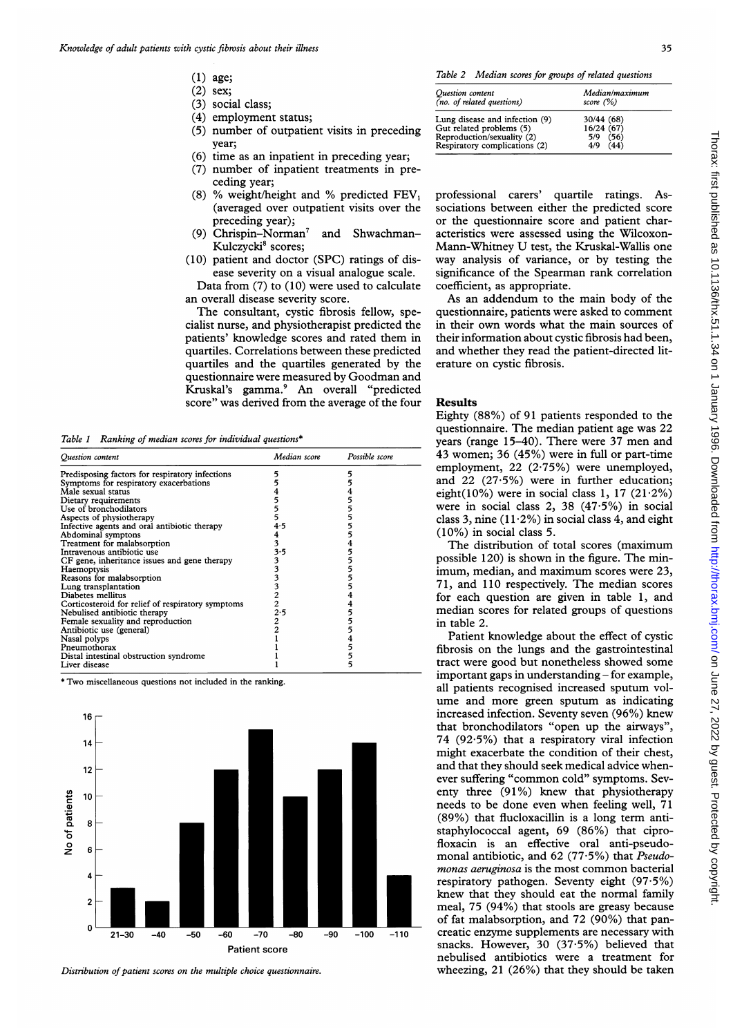- (1) age;
- (2) sex;
- (3) social class;
- (4) employment status;
- (5) number of outpatient visits in preceding year;
- (6) time as an inpatient in preceding year;
- (7) number of inpatient treatments in preceding year;
- (8) % weight/height and % predicted  $FEV<sub>1</sub>$ (averaged over outpatient visits over the preceding year);
- (9) Chrispin-Norman<sup>7</sup> and Shwachman-Kulczycki<sup>8</sup> scores;
- (10) patient and doctor (SPC) ratings of disease severity on a visual analogue scale.

Data from (7) to (10) were used to calculate an overall disease severity score.

The consultant, cystic fibrosis fellow, specialist nurse, and physiotherapist predicted the patients' knowledge scores and rated them in quartiles. Correlations between these predicted quartiles and the quartiles generated by the questionnaire were measured by Goodman and Kruskal's gamma.9 An overall "predicted score" was derived from the average of the four

Table <sup>1</sup> Ranking of median scores for individual questions\*

| Question content                                  | Median score | Possible score |
|---------------------------------------------------|--------------|----------------|
| Predisposing factors for respiratory infections   |              |                |
| Symptoms for respiratory exacerbations            |              |                |
| Male sexual status                                |              |                |
| Dietary requirements                              |              |                |
| Use of bronchodilators                            |              |                |
| Aspects of physiotherapy                          |              |                |
| Infective agents and oral antibiotic therapy      | 4.5          |                |
| Abdominal symptons                                | 4            |                |
| Treatment for malabsorption                       | 3            |                |
| Intravenous antibiotic use                        | 3.5          |                |
| CF gene, inheritance issues and gene therapy      | 3            |                |
| Haemoptysis                                       |              |                |
| Reasons for malabsorption                         |              |                |
| Lung transplantation                              |              |                |
| Diabetes mellitus                                 |              |                |
| Corticosteroid for relief of respiratory symptoms |              |                |
| Nebulised antibiotic therapy                      | 2.5          |                |
| Female sexuality and reproduction                 |              |                |
| Antibiotic use (general)                          |              |                |
| Nasal polyps                                      |              |                |
| Pneumothorax                                      |              |                |
| Distal intestinal obstruction syndrome            |              |                |
| Liver disease                                     |              | 5              |

\* Two miscellaneous questions not included in the ranking.



Distribution of patient scores on the multiple choice questionnaire.

Table 2 Median scores for groups of related questions

| Ouestion content<br>(no. of related questions) | Median/maximum<br>score $(\%)$ |
|------------------------------------------------|--------------------------------|
| Lung disease and infection (9)                 | 30/44 (68)                     |
| Gut related problems (5)                       | 16/24(67)                      |
| Reproduction/sexuality (2)                     | 5/9 (56)                       |
| Respiratory complications (2)                  | $4/9$ $(44)$                   |

professional carers' quartile ratings. Associations between either the predicted score or the questionnaire score and patient characteristics were assessed using the Wilcoxon-Mann-Whitney U test, the Kruskal-Wallis one way analysis of variance, or by testing the significance of the Spearman rank correlation coefficient, as appropriate.

As an addendum to the main body of the questionnaire, patients were asked to comment in their own words what the main sources of their information about cystic fibrosis had been, and whether they read the patient-directed literature on cystic fibrosis.

## Results

Eighty (88%) of 91 patients responded to the questionnaire. The median patient age was 22 years (range 15-40). There were 37 men and 43 women; 36 (45%) were in full or part-time employment, 22 (2.75%) were unemployed, and 22 (27 5%) were in further education; eight(10%) were in social class 1, 17 (21 $\cdot$ 2%) were in social class 2, 38  $(47.5%)$  in social class 3, nine ( $11.2\%$ ) in social class 4, and eight (10%) in social class 5.

The distribution of total scores (maximum possible 120) is shown in the figure. The minimum, median, and maximum scores were 23, 71, and 110 respectively. The median scores for each question are given in table 1, and median scores for related groups of questions in table 2.

Patient knowledge about the effect of cystic fibrosis on the lungs and the gastrointestinal tract were good but nonetheless showed some important gaps in understanding – for example, all patients recognised increased sputum volume and more green sputum as indicating increased infection. Seventy seven (96%) knew that bronchodilators "open up the airways", 74 (92-5%) that a respiratory viral infection might exacerbate the condition of their chest, and that they should seek medical advice whenever suffering "common cold" symptoms. Seventy three  $(91\%)$  knew that physiotherapy needs to be done even when feeling well, 71 (89%) that flucloxacillin is a long term antistaphylococcal agent, 69 (86%) that ciprofloxacin is an effective oral anti-pseudomonal antibiotic, and 62 (77.5%) that Pseudomonas aeruginosa is the most common bacterial respiratory pathogen. Seventy eight (97 5%) knew that they should eat the normal family meal, 75 (94%) that stools are greasy because of fat malabsorption, and 72 (90%) that pancreatic enzyme supplements are necessary with snacks. However, 30 (37-5%) believed that nebulised antibiotics were a treatment for wheezing, 21 (26%) that they should be taken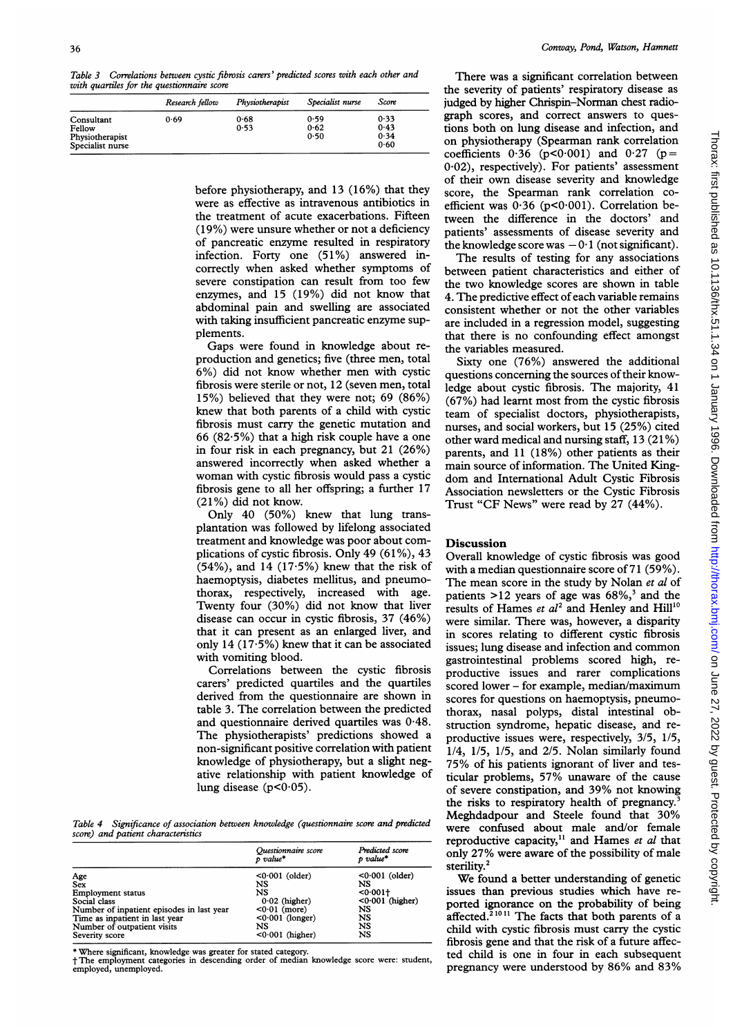Table 3 Correlations between cystic fibrosis carers' predicted scores with each other and with quartiles for the questionnaire score

|                                                             | Research fellow | Physiotherapist | Specialist nurse     | Score                        |  |
|-------------------------------------------------------------|-----------------|-----------------|----------------------|------------------------------|--|
| Consultant<br>Fellow<br>Physiotherapist<br>Specialist nurse | 0.69            | 0.68<br>0.53    | 0.59<br>0.62<br>0.50 | 0.33<br>0.43<br>0.34<br>0.60 |  |

before physiotherapy, and 13 (16%) that they were as effective as intravenous antibiotics in the treatment of acute exacerbations. Fifteen (19%) were unsure whether or not a deficiency of pancreatic enzyme resulted in respiratory infection. Forty one (51%) answered incorrectly when asked whether symptoms of severe constipation can result from too few enzymes, and 15 (19%) did not know that abdominal pain and swelling are associated with taking insufficient pancreatic enzyme supplements.

Gaps were found in knowledge about reproduction and genetics; five (three men, total 6%) did not know whether men with cystic fibrosis were sterile or not, 12 (seven men, total 15%) believed that they were not; 69 (86%) knew that both parents of a child with cystic fibrosis must carry the genetic mutation and 66  $(82.5%)$  that a high risk couple have a one in four risk in each pregnancy, but 21 (26%) answered incorrectly when asked whether a woman with cystic fibrosis would pass <sup>a</sup> cystic fibrosis gene to all her offspring; a further 17 (21%) did not know.

Only 40 (50%) knew that lung transplantation was followed by lifelong associated treatment and knowledge was poor about complications of cystic fibrosis. Only 49 (61%), 43  $(54%)$ , and 14 (17 $\cdot$ 5%) knew that the risk of haemoptysis, diabetes mellitus, and pneumothorax, respectively, increased with age. Twenty four (30%) did not know that liver disease can occur in cystic fibrosis, 37 (46%) that it can present as an enlarged liver, and only 14 (17-5%) knew that it can be associated with vomiting blood.

Correlations between the cystic fibrosis carers' predicted quartiles and the quartiles derived from the questionnaire are shown in table 3. The correlation between the predicted and questionnaire derived quartiles was 0-48. The physiotherapists' predictions showed a non-significant positive correlation with patient knowledge of physiotherapy, but a slight negative relationship with patient knowledge of lung disease ( $p < 0.05$ ).

Table 4 Significance of association between knowledge (questionnaire score and predicted score) and patient characteristics

|                                           | Questionnaire score<br>$\n  value*\n$ | Predicted score<br>p value* |
|-------------------------------------------|---------------------------------------|-----------------------------|
| Age                                       | $<0.001$ (older)                      | $<0.001$ (older)            |
| <b>Sex</b>                                | NS                                    | NS                          |
| <b>Employment status</b>                  | NS                                    | $0.001 +$                   |
| Social class                              | $0.02$ (higher)                       | $< 0.001$ (higher)          |
| Number of inpatient episodes in last year | $<0.01$ (more)                        | NS                          |
| Time as inpatient in last year            | $<0.001$ (longer)                     | NS                          |
| Number of outpatient visits               | NS                                    | NS                          |
| Severity score                            | $< 0.001$ (higher)                    | NS                          |

\* Where significant, knowledge was greater for stated category. t The employment categories in descending order of median knowledge score were: student, employed, unemployed.

There was a significant correlation between the severity of patients' respiratory disease as judged by higher Chrispin-Norman chest radiograph scores, and correct answers to questions both on lung disease and infection, and on physiotherapy (Spearman rank correlation coefficients  $0.36$  (p<0.001) and  $0.27$  (p= 0-02), respectively). For patients' assessment of their own disease severity and knowledge score, the Spearman rank correlation coefficient was  $0.36$  (p<0.001). Correlation between the difference in the doctors' and patients' assessments of disease severity and the knowledge score was  $-0.1$  (not significant).

The results of testing for any associations between patient characteristics and either of the two knowledge scores are shown in table 4. The predictive effect of each variable remains consistent whether or not the other variables are included in a regression model, suggesting that there is no confounding effect amongst the variables measured.

Sixty one (76%) answered the additional questions concerning the sources of their knowledge about cystic fibrosis. The majority, 41 (67%) had learnt most from the cystic fibrosis team of specialist doctors, physiotherapists, nurses, and social workers, but 15 (25%) cited other ward medical and nursing staff, 13 (21 %) parents, and 11 (18%) other patients as their main source of information. The United Kingdom and International Adult Cystic Fibrosis Association newsletters or the Cystic Fibrosis Trust "CF News" were read by 27 (44%).

## Discussion

Overall knowledge of cystic fibrosis was good with a median questionnaire score of 71 (59%). The mean score in the study by Nolan et al of patients  $>12$  years of age was  $68\%$ ,<sup>3</sup> and the results of Hames et  $al^2$  and Henley and Hill<sup>10</sup> were similar. There was, however, a disparity in scores relating to different cystic fibrosis issues; lung disease and infection and common gastrointestinal problems scored high, reproductive issues and rarer complications scored lower - for example, median/maximum scores for questions on haemoptysis, pneumothorax, nasal polyps, distal intestinal obstruction syndrome, hepatic disease, and reproductive issues were, respectively, 3/5, 1/5, 1/4, 1/5, 1/5, and 2/5. Nolan similarly found 75% of his patients ignorant of liver and testicular problems, 57% unaware of the cause of severe constipation, and 39% not knowing the risks to respiratory health of pregnancy.' Meghdadpour and Steele found that 30% were confused about male and/or female reproductive capacity, $11$  and Hames et al that only 27% were aware of the possibility of male sterility.<sup>2</sup>

We found <sup>a</sup> better understanding of genetic issues than previous studies which have reported ignorance on the probability of being affected.<sup>21011</sup> The facts that both parents of a child with cystic fibrosis must carry the cystic fibrosis gene and that the risk of a future affected child is one in four in each subsequent pregnancy were understood by 86% and 83%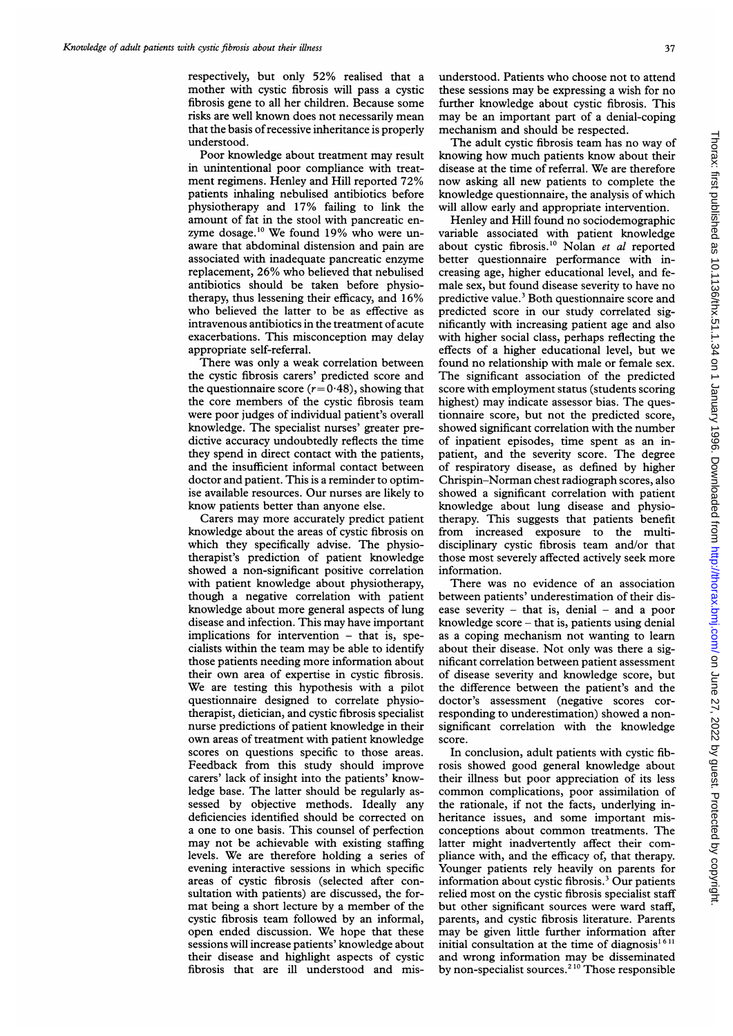respectively, but only 52% realised that <sup>a</sup> mother with cystic fibrosis will pass a cystic fibrosis gene to all her children. Because some risks are well known does not necessarily mean that the basis ofrecessive inheritance is properly understood.

Poor knowledge about treatment may result in unintentional poor compliance with treatment regimens. Henley and Hill reported 72% patients inhaling nebulised antibiotics before physiotherapy and 17% failing to link the amount of fat in the stool with pancreatic enzyme dosage.<sup>10</sup> We found 19% who were unaware that abdominal distension and pain are associated with inadequate pancreatic enzyme replacement, 26% who believed that nebulised antibiotics should be taken before physiotherapy, thus lessening their efficacy, and 16% who believed the latter to be as effective as intravenous antibiotics in the treatment of acute exacerbations. This misconception may delay appropriate self-referral.

There was only a weak correlation between the cystic fibrosis carers' predicted score and the questionnaire score  $(r= 0.48)$ , showing that the core members of the cystic fibrosis team were poor judges of individual patient's overall knowledge. The specialist nurses' greater predictive accuracy undoubtedly reflects the time they spend in direct contact with the patients, and the insufficient informal contact between doctor and patient. This is a reminder to optimise available resources. Our nurses are likely to know patients better than anyone else.

Carers may more accurately predict patient knowledge about the areas of cystic fibrosis on which they specifically advise. The physiotherapist's prediction of patient knowledge showed a non-significant positive correlation with patient knowledge about physiotherapy, though a negative correlation with patient knowledge about more general aspects of lung disease and infection. This may have important implications for intervention - that is, specialists within the team may be able to identify those patients needing more information about their own area of expertise in cystic fibrosis. We are testing this hypothesis with <sup>a</sup> pilot questionnaire designed to correlate physiotherapist, dietician, and cystic fibrosis specialist nurse predictions of patient knowledge in their own areas of treatment with patient knowledge scores on questions specific to those areas. Feedback from this study should improve carers' lack of insight into the patients' knowledge base. The latter should be regularly assessed by objective methods. Ideally any deficiencies identified should be corrected on a one to one basis. This counsel of perfection may not be achievable with existing staffing levels. We are therefore holding <sup>a</sup> series of evening interactive sessions in which specific areas of cystic fibrosis (selected after consultation with patients) are discussed, the format being <sup>a</sup> short lecture by <sup>a</sup> member of the cystic fibrosis team followed by an informal, open ended discussion. We hope that these sessions will increase patients' knowledge about their disease and highlight aspects of cystic fibrosis that are ill understood and mis-

understood. Patients who choose not to attend these sessions may be expressing <sup>a</sup> wish for no further knowledge about cystic fibrosis. This may be an important part of <sup>a</sup> denial-coping mechanism and should be respected.

The adult cystic fibrosis team has no way of knowing how much patients know about their disease at the time of referral. We are therefore now asking all new patients to complete the knowledge questionnaire, the analysis of which will allow early and appropriate intervention.

Henley and Hill found no sociodemographic variable associated with patient knowledge about cystic fibrosis.<sup>10</sup> Nolan et al reported better questionnaire performance with increasing age, higher educational level, and female sex, but found disease severity to have no predictive value.3 Both questionnaire score and predicted score in our study correlated significantly with increasing patient age and also with higher social class, perhaps reflecting the effects of a higher educational level, but we found no relationship with male or female sex. The significant association of the predicted score with employment status (students scoring highest) may indicate assessor bias. The questionnaire score, but not the predicted score, showed significant correlation with the number of inpatient episodes, time spent as an inpatient, and the severity score. The degree of respiratory disease, as defined by higher Chrispin-Norman chest radiograph scores, also showed a significant correlation with patient knowledge about lung disease and physiotherapy. This suggests that patients benefit from increased exposure to the multidisciplinary cystic fibrosis team and/or that those most severely affected actively seek more information.

There was no evidence of an association between patients' underestimation of their disease severity  $-$  that is, denial  $-$  and a poor knowledge  $score - that$  is, patients using denial as a coping mechanism not wanting to learn about their disease. Not only was there a significant correlation between patient assessment of disease severity and knowledge score, but the difference between the patient's and the doctor's assessment (negative scores corresponding to underestimation) showed a nonsignificant correlation with the knowledge score.

In conclusion, adult patients with cystic fibrosis showed good general knowledge about their illness but poor appreciation of its less common complications, poor assimilation of the rationale, if not the facts, underlying inheritance issues, and some important misconceptions about common treatments. The latter might inadvertently affect their compliance with, and the efficacy of, that therapy. Younger patients rely heavily on parents for information about cystic fibrosis.3 Our patients relied most on the cystic fibrosis specialist staff but other significant sources were ward staff, parents, and cystic fibrosis literature. Parents may be given little further information after initial consultation at the time of diagnosis<sup>1611</sup> and wrong information may be disseminated by non-specialist sources.<sup>210</sup> Those responsible